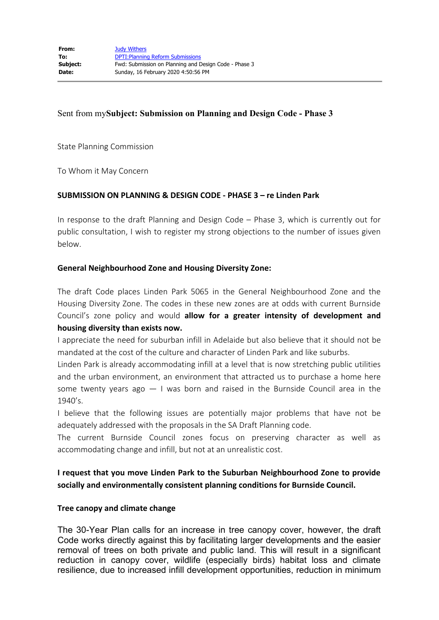### Sent from my**Subject: Submission on Planning and Design Code - Phase 3**

State Planning Commission

To Whom it May Concern

### **SUBMISSION ON PLANNING & DESIGN CODE - PHASE 3 – re Linden Park**

In response to the draft Planning and Design Code – Phase 3, which is currently out for public consultation, I wish to register my strong objections to the number of issues given below.

### **General Neighbourhood Zone and Housing Diversity Zone:**

The draft Code places Linden Park 5065 in the General Neighbourhood Zone and the Housing Diversity Zone. The codes in these new zones are at odds with current Burnside Council's zone policy and would **allow for a greater intensity of development and housing diversity than exists now.**

I appreciate the need for suburban infill in Adelaide but also believe that it should not be mandated at the cost of the culture and character of Linden Park and like suburbs.

Linden Park is already accommodating infill at a level that is now stretching public utilities and the urban environment, an environment that attracted us to purchase a home here some twenty years ago  $-1$  was born and raised in the Burnside Council area in the 1940's.

I believe that the following issues are potentially major problems that have not be adequately addressed with the proposals in the SA Draft Planning code.

The current Burnside Council zones focus on preserving character as well as accommodating change and infill, but not at an unrealistic cost.

# **I request that you move Linden Park to the Suburban Neighbourhood Zone to provide socially and environmentally consistent planning conditions for Burnside Council.**

### **Tree canopy and climate change**

The 30-Year Plan calls for an increase in tree canopy cover, however, the draft Code works directly against this by facilitating larger developments and the easier removal of trees on both private and public land. This will result in a significant reduction in canopy cover, wildlife (especially birds) habitat loss and climate resilience, due to increased infill development opportunities, reduction in minimum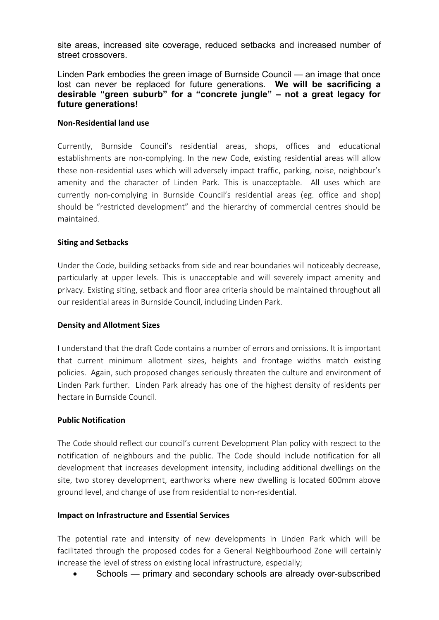site areas, increased site coverage, reduced setbacks and increased number of street crossovers.

Linden Park embodies the green image of Burnside Council — an image that once lost can never be replaced for future generations. **We will be sacrificing a desirable "green suburb" for a "concrete jungle" – not a great legacy for future generations!**

### **Non-Residential land use**

Currently, Burnside Council's residential areas, shops, offices and educational establishments are non-complying. In the new Code, existing residential areas will allow these non-residential uses which will adversely impact traffic, parking, noise, neighbour's amenity and the character of Linden Park. This is unacceptable. All uses which are currently non-complying in Burnside Council's residential areas (eg. office and shop) should be "restricted development" and the hierarchy of commercial centres should be maintained.

### **Siting and Setbacks**

Under the Code, building setbacks from side and rear boundaries will noticeably decrease, particularly at upper levels. This is unacceptable and will severely impact amenity and privacy. Existing siting, setback and floor area criteria should be maintained throughout all our residential areas in Burnside Council, including Linden Park.

### **Density and Allotment Sizes**

I understand that the draft Code contains a number of errors and omissions. It is important that current minimum allotment sizes, heights and frontage widths match existing policies. Again, such proposed changes seriously threaten the culture and environment of Linden Park further. Linden Park already has one of the highest density of residents per hectare in Burnside Council.

### **Public Notification**

The Code should reflect our council's current Development Plan policy with respect to the notification of neighbours and the public. The Code should include notification for all development that increases development intensity, including additional dwellings on the site, two storey development, earthworks where new dwelling is located 600mm above ground level, and change of use from residential to non-residential.

## **Impact on Infrastructure and Essential Services**

The potential rate and intensity of new developments in Linden Park which will be facilitated through the proposed codes for a General Neighbourhood Zone will certainly increase the level of stress on existing local infrastructure, especially;

Schools — primary and secondary schools are already over-subscribed